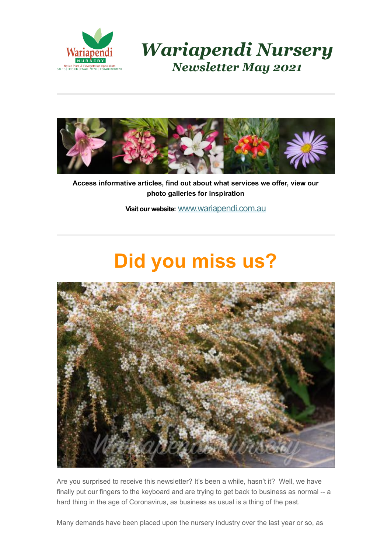

*Wariapendi Nursery Newsletter May 2021*



**Access informative articles, find out about what services we offer, view our photo galleries for inspiration**

**Visit our website:** [www.wariapendi.com.au](http://www.wariapendi.com.au/?tracking=5a2f21fb2200a)

### **Did you miss us?**



Are you surprised to receive this newsletter? It's been a while, hasn't it? Well, we have finally put our fingers to the keyboard and are trying to get back to business as normal -- a hard thing in the age of Coronavirus, as business as usual is a thing of the past.

Many demands have been placed upon the nursery industry over the last year or so, as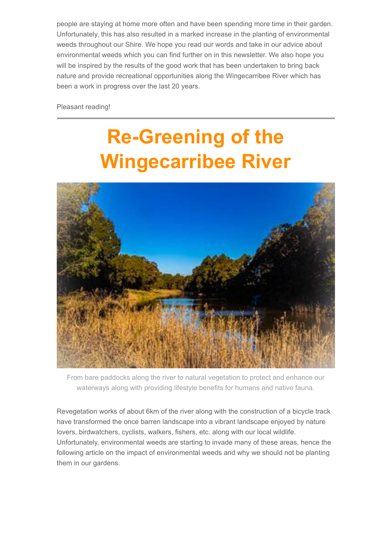people are staying at home more often and have been spending more time in their garden. Unfortunately, this has also resulted in a marked increase in the planting of environmental weeds throughout our Shire. We hope you read our words and take in our advice about environmental weeds which you can find further on in this newsletter. We also hope you will be inspired by the results of the good work that has been undertaken to bring back nature and provide recreational opportunities along the Wingecarribee River which has been a work in progress over the last 20 years.

Pleasant reading!

# **Re-Greening of the Wingecarribee River**



From bare paddocks along the river to natural vegetation to protect and enhance our waterways along with providing lifestyle benefits for humans and native fauna.

Revegetation works of about 6km of the river along with the construction of a bicycle track have transformed the once barren landscape into a vibrant landscape enjoyed by nature lovers, birdwatchers, cyclists, walkers, fishers, etc. along with our local wildlife. Unfortunately, environmental weeds are starting to invade many of these areas, hence the following article on the impact of environmental weeds and why we should not be planting them in our gardens.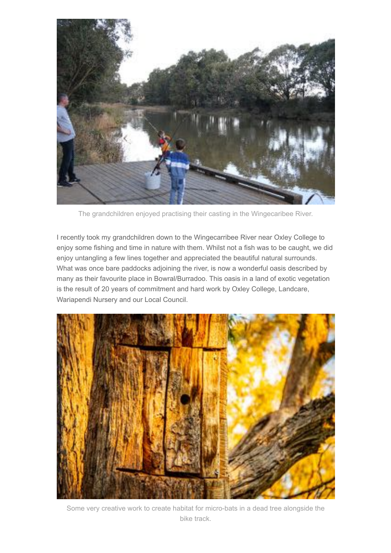

The grandchildren enjoyed practising their casting in the Wingecaribee River.

I recently took my grandchildren down to the Wingecarribee River near Oxley College to enjoy some fishing and time in nature with them. Whilst not a fish was to be caught, we did enjoy untangling a few lines together and appreciated the beautiful natural surrounds. What was once bare paddocks adjoining the river, is now a wonderful oasis described by many as their favourite place in Bowral/Burradoo. This oasis in a land of exotic vegetation is the result of 20 years of commitment and hard work by Oxley College, Landcare, Wariapendi Nursery and our Local Council.



Some very creative work to create habitat for micro-bats in a dead tree alongside the bike track.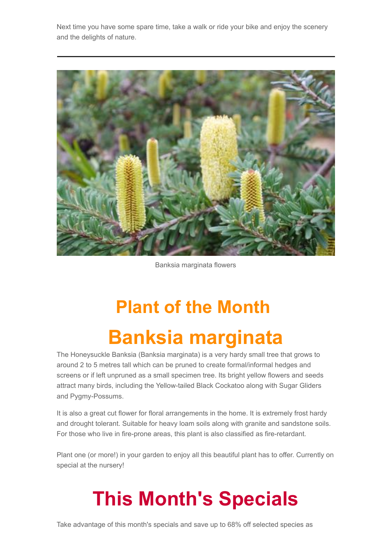Next time you have some spare time, take a walk or ride your bike and enjoy the scenery and the delights of nature.



#### Banksia marginata flowers

# **Plant of the Month Banksia marginata**

The Honeysuckle Banksia (Banksia marginata) is a very hardy small tree that grows to around 2 to 5 metres tall which can be pruned to create formal/informal hedges and screens or if left unpruned as a small specimen tree. Its bright yellow flowers and seeds attract many birds, including the Yellow-tailed Black Cockatoo along with Sugar Gliders and Pygmy-Possums.

It is also a great cut flower for floral arrangements in the home. It is extremely frost hardy and drought tolerant. Suitable for heavy loam soils along with granite and sandstone soils. For those who live in fire-prone areas, this plant is also classified as fire-retardant.

Plant one (or more!) in your garden to enjoy all this beautiful plant has to offer. Currently on special at the nursery!

## **This Month's Specials**

Take advantage of this month's specials and save up to 68% off selected species as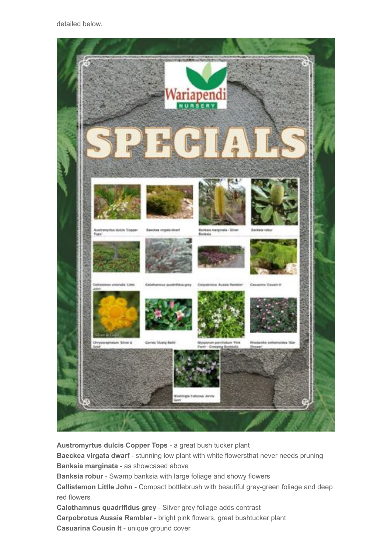

**Austromyrtus dulcis Copper Tops** - a great bush tucker plant **Baeckea virgata dwarf - stunning low plant with white flowersthat never needs pruning Banksia marginata** - as showcased above **Banksia robur** - Swamp banksia with large foliage and showy flowers **Callistemon Little John** - Compact bottlebrush with beautiful grey-green foliage and deep red flowers **Calothamnus quadrifidus grey** - Silver grey foliage adds contrast **Carpobrotus Aussie Rambler** - bright pink flowers, great bushtucker plant **Casuarina Cousin It** - unique ground cover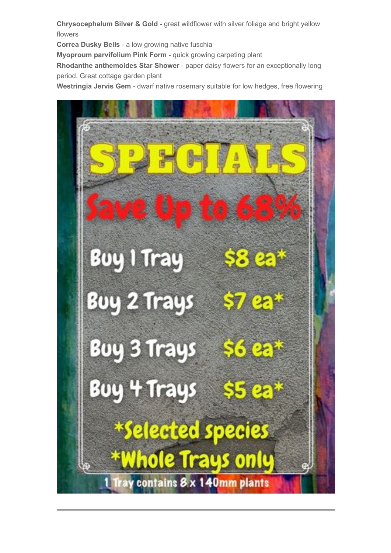**Chrysocephalum Silver & Gold** - great wildflower with silver foliage and bright yellow flowers

**Correa Dusky Bells** - a low growing native fuschia

**Myoproum parvifolium Pink Form** - quick growing carpeting plant

**Rhodanthe anthemoides Star Shower** - paper daisy flowers for an exceptionally long period. Great cottage garden plant

**Westringia Jervis Gem** - dwarf native rosemary suitable for low hedges, free flowering

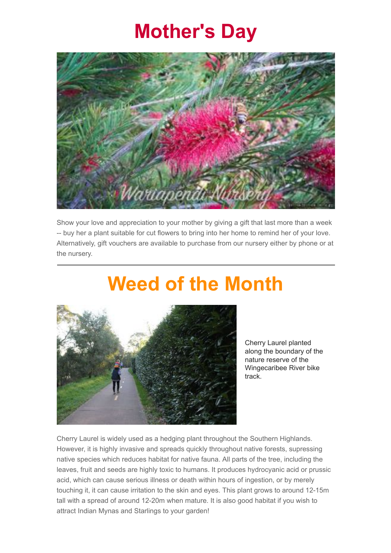#### **Mother's Day**



Show your love and appreciation to your mother by giving a gift that last more than a week -- buy her a plant suitable for cut flowers to bring into her home to remind her of your love. Alternatively, gift vouchers are available to purchase from our nursery either by phone or at the nursery.

#### **Weed of the Month**



Cherry Laurel planted along the boundary of the nature reserve of the Wingecaribee River bike track.

Cherry Laurel is widely used as a hedging plant throughout the Southern Highlands. However, it is highly invasive and spreads quickly throughout native forests, supressing native species which reduces habitat for native fauna. All parts of the tree, including the leaves, fruit and seeds are highly toxic to humans. It produces hydrocyanic acid or prussic acid, which can cause serious illness or death within hours of ingestion, or by merely touching it, it can cause irritation to the skin and eyes. This plant grows to around 12-15m tall with a spread of around 12-20m when mature. It is also good habitat if you wish to attract Indian Mynas and Starlings to your garden!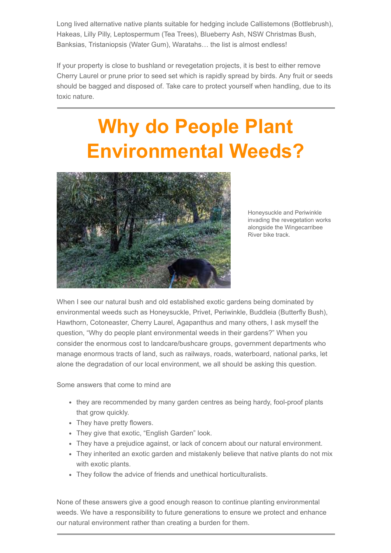Long lived alternative native plants suitable for hedging include Callistemons (Bottlebrush), Hakeas, Lilly Pilly, Leptospermum (Tea Trees), Blueberry Ash, NSW Christmas Bush, Banksias, Tristaniopsis (Water Gum), Waratahs… the list is almost endless!

If your property is close to bushland or revegetation projects, it is best to either remove Cherry Laurel or prune prior to seed set which is rapidly spread by birds. Any fruit or seeds should be bagged and disposed of. Take care to protect yourself when handling, due to its toxic nature.

# **Why do People Plant Environmental Weeds?**



Honeysuckle and Periwinkle invading the revegetation works alongside the Wingecarribee River bike track.

When I see our natural bush and old established exotic gardens being dominated by environmental weeds such as Honeysuckle, Privet, Periwinkle, Buddleia (Butterfly Bush), Hawthorn, Cotoneaster, Cherry Laurel, Agapanthus and many others, I ask myself the question, "Why do people plant environmental weeds in their gardens?" When you consider the enormous cost to landcare/bushcare groups, government departments who manage enormous tracts of land, such as railways, roads, waterboard, national parks, let alone the degradation of our local environment, we all should be asking this question.

Some answers that come to mind are

- they are recommended by many garden centres as being hardy, fool-proof plants that grow quickly.
- They have pretty flowers.
- They give that exotic, "English Garden" look.
- They have a prejudice against, or lack of concern about our natural environment.
- They inherited an exotic garden and mistakenly believe that native plants do not mix with exotic plants.
- They follow the advice of friends and unethical horticulturalists.

None of these answers give a good enough reason to continue planting environmental weeds. We have a responsibility to future generations to ensure we protect and enhance our natural environment rather than creating a burden for them.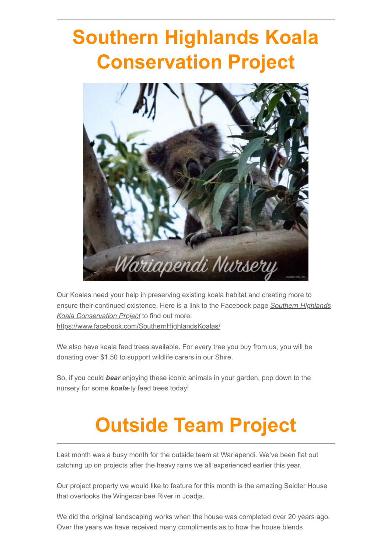# **Southern Highlands Koala Conservation Project**



Our Koalas need your help in preserving existing koala habitat and creating more to [ensure their continued existence. Here is a link to the Facebook page](https://www.facebook.com/SouthernHighlandsKoalas/) *Southern Highlands Koala Conservation Project* to find out more. <https://www.facebook.com/SouthernHighlandsKoalas/>

We also have koala feed trees available. For every tree you buy from us, you will be donating over \$1.50 to support wildlife carers in our Shire.

So, if you could *bear* enjoying these iconic animals in your garden, pop down to the nursery for some *koala*-ty feed trees today!

# **Outside Team Project**

Last month was a busy month for the outside team at Wariapendi. We've been flat out catching up on projects after the heavy rains we all experienced earlier this year.

Our project property we would like to feature for this month is the amazing Seidler House that overlooks the Wingecaribee River in Joadja.

We did the original landscaping works when the house was completed over 20 years ago. Over the years we have received many compliments as to how the house blends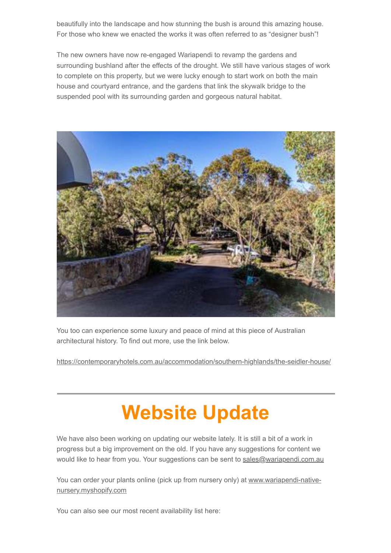beautifully into the landscape and how stunning the bush is around this amazing house. For those who knew we enacted the works it was often referred to as "designer bush"!

The new owners have now re-engaged Wariapendi to revamp the gardens and surrounding bushland after the effects of the drought. We still have various stages of work to complete on this property, but we were lucky enough to start work on both the main house and courtyard entrance, and the gardens that link the skywalk bridge to the suspended pool with its surrounding garden and gorgeous natural habitat.



You too can experience some luxury and peace of mind at this piece of Australian architectural history. To find out more, use the link below.

<https://contemporaryhotels.com.au/accommodation/southern-highlands/the-seidler-house/>

# **Website Update**

We have also been working on updating our website lately. It is still a bit of a work in progress but a big improvement on the old. If you have any suggestions for content we would like to hear from you. Your suggestions can be sent to [sales@wariapendi.com.au](mailto:sales@wariapendi.com.au)

[You can order your plants online \(pick up from nursery only\) at www.wariapendi-native](http://www.wariapendi-native-nursery.myshopify.com/)nursery.myshopify.com

You can also see our most recent availability list here: